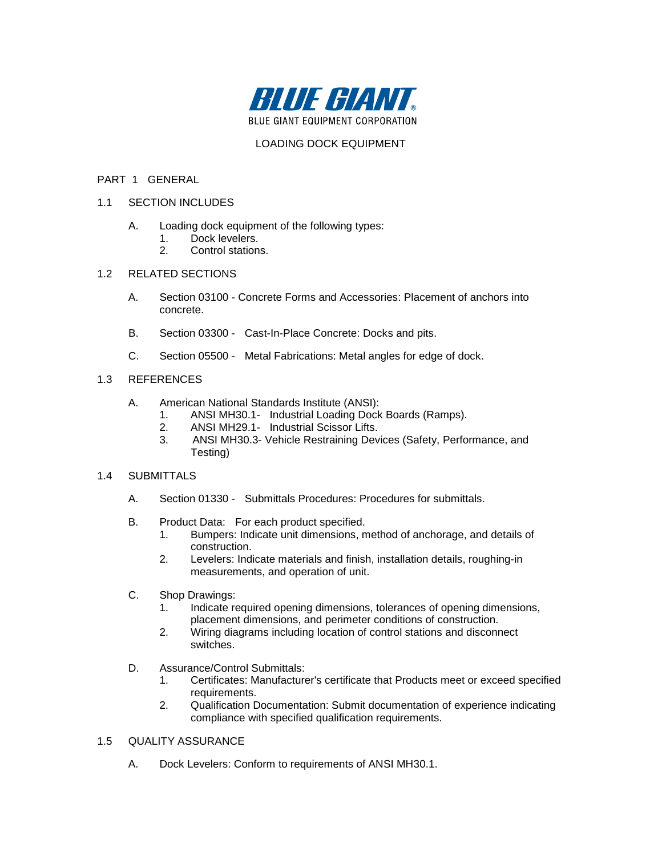

## LOADING DOCK EQUIPMENT

#### PART 1 GENERAL

- 1.1 SECTION INCLUDES
	- A. Loading dock equipment of the following types:
		- 1. Dock levelers.
		- 2. Control stations.
- 1.2 RELATED SECTIONS
	- A. Section 03100 Concrete Forms and Accessories: Placement of anchors into concrete.
	- B. Section 03300 Cast-In-Place Concrete: Docks and pits.
	- C. Section 05500 Metal Fabrications: Metal angles for edge of dock.

### 1.3 REFERENCES

- A. American National Standards Institute (ANSI):
	- 1. ANSI MH30.1- Industrial Loading Dock Boards (Ramps).
	- 2. ANSI MH29.1- Industrial Scissor Lifts.<br>3. ANSI MH30.3- Vehicle Restraining Dev
	- 3. ANSI MH30.3- Vehicle Restraining Devices (Safety, Performance, and Testing)

#### 1.4 SUBMITTALS

- A. Section 01330 Submittals Procedures: Procedures for submittals.
- B. Product Data: For each product specified.
	- 1. Bumpers: Indicate unit dimensions, method of anchorage, and details of construction.
	- 2. Levelers: Indicate materials and finish, installation details, roughing-in measurements, and operation of unit.
- C. Shop Drawings:
	- 1. Indicate required opening dimensions, tolerances of opening dimensions, placement dimensions, and perimeter conditions of construction.
	- 2. Wiring diagrams including location of control stations and disconnect switches.
- D. Assurance/Control Submittals:
	- 1. Certificates: Manufacturer's certificate that Products meet or exceed specified requirements.
	- 2. Qualification Documentation: Submit documentation of experience indicating compliance with specified qualification requirements.

### 1.5 QUALITY ASSURANCE

A. Dock Levelers: Conform to requirements of ANSI MH30.1.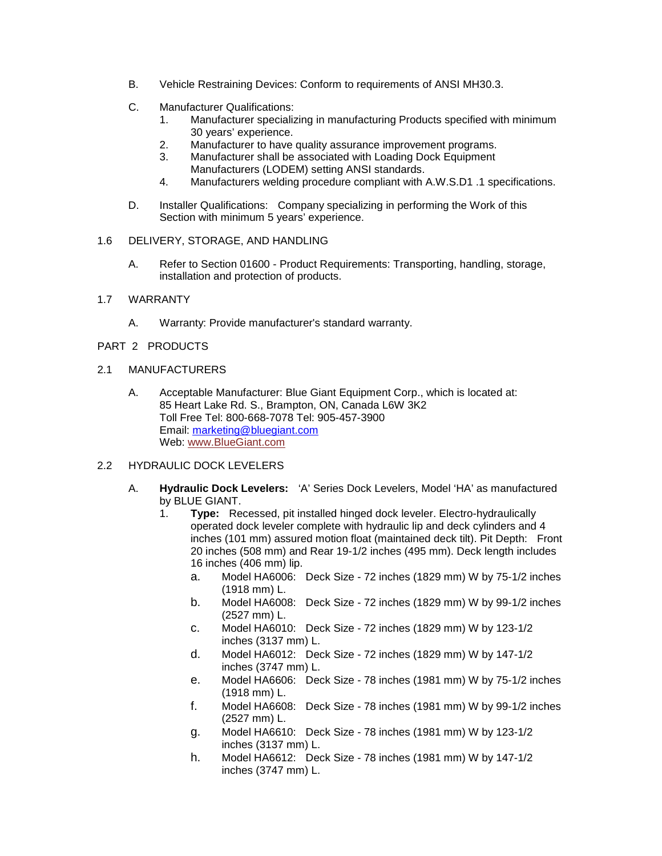- B. Vehicle Restraining Devices: Conform to requirements of ANSI MH30.3.
- C. Manufacturer Qualifications:
	- 1. Manufacturer specializing in manufacturing Products specified with minimum 30 years' experience.
	- 2. Manufacturer to have quality assurance improvement programs.
	- 3. Manufacturer shall be associated with Loading Dock Equipment Manufacturers (LODEM) setting ANSI standards.
	- 4. Manufacturers welding procedure compliant with A.W.S.D1 .1 specifications.
- D. Installer Qualifications: Company specializing in performing the Work of this Section with minimum 5 years' experience.
- 1.6 DELIVERY, STORAGE, AND HANDLING
	- A. Refer to Section 01600 Product Requirements: Transporting, handling, storage, installation and protection of products.
- 1.7 WARRANTY
	- A. Warranty: Provide manufacturer's standard warranty.
- PART 2 PRODUCTS
- 2.1 MANUFACTURERS
	- A. Acceptable Manufacturer: Blue Giant Equipment Corp., which is located at: 85 Heart Lake Rd. S., Brampton, ON, Canada L6W 3K2 Toll Free Tel: 800-668-7078 Tel: 905-457-3900 Email: [marketing@bluegiant.com](mailto:marketing@bluegiant.com) Web[: www.BlueGiant.com](http://www.bluegiant.com/)
- 2.2 HYDRAULIC DOCK LEVELERS
	- A. **Hydraulic Dock Levelers:** 'A' Series Dock Levelers, Model 'HA' as manufactured by BLUE GIANT.
		- 1. **Type:** Recessed, pit installed hinged dock leveler. Electro-hydraulically operated dock leveler complete with hydraulic lip and deck cylinders and 4 inches (101 mm) assured motion float (maintained deck tilt). Pit Depth: Front 20 inches (508 mm) and Rear 19-1/2 inches (495 mm). Deck length includes 16 inches (406 mm) lip.
			- a. Model HA6006: Deck Size 72 inches (1829 mm) W by 75-1/2 inches (1918 mm) L.
			- b. Model HA6008: Deck Size 72 inches (1829 mm) W by 99-1/2 inches (2527 mm) L.
			- c. Model HA6010: Deck Size 72 inches (1829 mm) W by 123-1/2 inches (3137 mm) L.
			- d. Model HA6012: Deck Size 72 inches (1829 mm) W by 147-1/2 inches (3747 mm) L.
			- e. Model HA6606: Deck Size 78 inches (1981 mm) W by 75-1/2 inches (1918 mm) L.
			- f. Model HA6608: Deck Size 78 inches (1981 mm) W by 99-1/2 inches (2527 mm) L.
			- g. Model HA6610: Deck Size 78 inches (1981 mm) W by 123-1/2 inches (3137 mm) L.
			- h. Model HA6612: Deck Size 78 inches (1981 mm) W by 147-1/2 inches (3747 mm) L.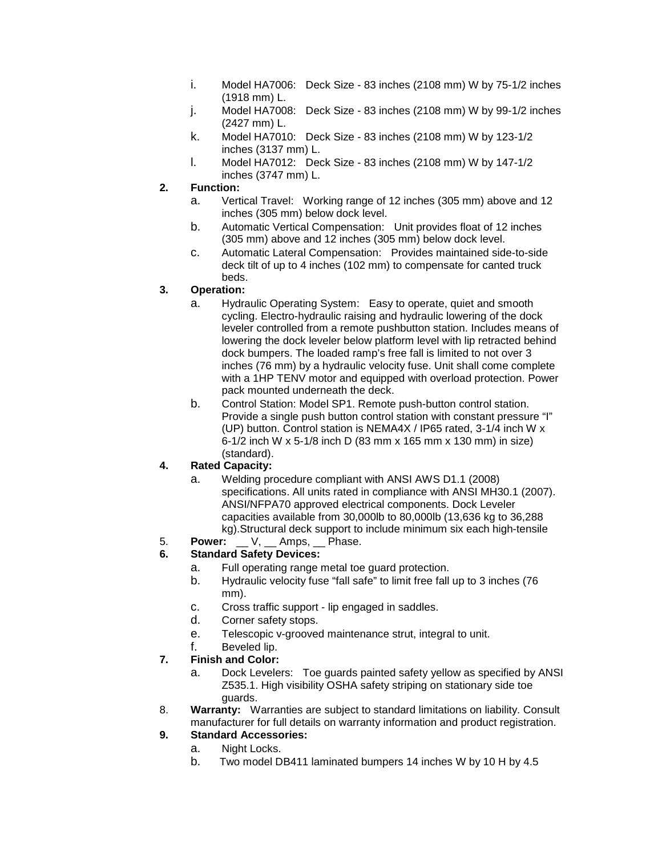- i. Model HA7006: Deck Size 83 inches (2108 mm) W by 75-1/2 inches (1918 mm) L.
- j. Model HA7008: Deck Size 83 inches (2108 mm) W by 99-1/2 inches (2427 mm) L.
- k. Model HA7010: Deck Size 83 inches (2108 mm) W by 123-1/2 inches (3137 mm) L.
- l. Model HA7012: Deck Size 83 inches (2108 mm) W by 147-1/2 inches (3747 mm) L.
- **2. Function:** 
	- a. Vertical Travel: Working range of 12 inches (305 mm) above and 12 inches (305 mm) below dock level.
	- b. Automatic Vertical Compensation: Unit provides float of 12 inches (305 mm) above and 12 inches (305 mm) below dock level.
	- c. Automatic Lateral Compensation: Provides maintained side-to-side deck tilt of up to 4 inches (102 mm) to compensate for canted truck beds.

# **3. Operation:**

- a. Hydraulic Operating System: Easy to operate, quiet and smooth cycling. Electro-hydraulic raising and hydraulic lowering of the dock leveler controlled from a remote pushbutton station. Includes means of lowering the dock leveler below platform level with lip retracted behind dock bumpers. The loaded ramp's free fall is limited to not over 3 inches (76 mm) by a hydraulic velocity fuse. Unit shall come complete with a 1HP TENV motor and equipped with overload protection. Power pack mounted underneath the deck.
- b. Control Station: Model SP1. Remote push-button control station. Provide a single push button control station with constant pressure "I" (UP) button. Control station is NEMA4X / IP65 rated, 3-1/4 inch W x 6-1/2 inch W x 5-1/8 inch D (83 mm x 165 mm x 130 mm) in size) (standard).

# **4. Rated Capacity:**

- a. Welding procedure compliant with ANSI AWS D1.1 (2008) specifications. All units rated in compliance with ANSI MH30.1 (2007). ANSI/NFPA70 approved electrical components. Dock Leveler capacities available from 30,000lb to 80,000lb (13,636 kg to 36,288 kg).Structural deck support to include minimum six each high-tensile
- 5. **Power:** V, Amps, Phase.<br>6. Standard Safety Devices:

# **6. Standard Safety Devices:**

- a. Full operating range metal toe guard protection.
- b. Hydraulic velocity fuse "fall safe" to limit free fall up to 3 inches (76 mm).
- c. Cross traffic support lip engaged in saddles.
- d. Corner safety stops.
- e. Telescopic v-grooved maintenance strut, integral to unit.
- f. Beveled lip.

# **7. Finish and Color:**

- a. Dock Levelers: Toe guards painted safety yellow as specified by ANSI Z535.1. High visibility OSHA safety striping on stationary side toe guards.
- 8. **Warranty:** Warranties are subject to standard limitations on liability. Consult manufacturer for full details on warranty information and product registration.

# **9. Standard Accessories:**

- a. Night Locks.
- b. Two model DB411 laminated bumpers 14 inches W by 10 H by 4.5